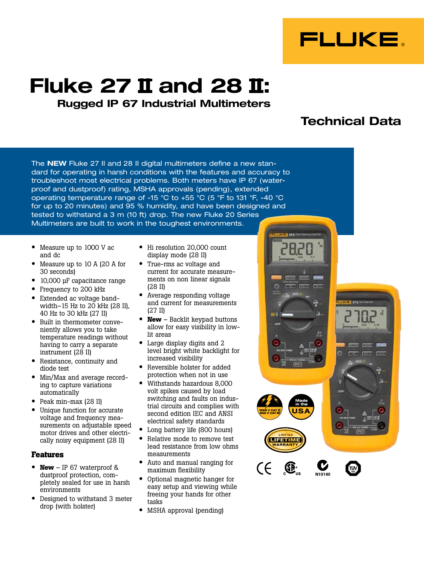

# **Fluke 27 II and 28 II: Rugged IP 67 Industrial Multimeters**

## **Technical Data**

The **NEW** Fluke 27 II and 28 II digital multimeters define a new standard for operating in harsh conditions with the features and accuracy to troubleshoot most electrical problems. Both meters have IP 67 (waterproof and dustproof) rating, MSHA approvals (pending), extended operating temperature range of -15 °C to +55 °C (5 °F to 131 °F, -40 °C for up to 20 minutes) and 95 % humidity, and have been designed and tested to withstand a 3 m (10 ft) drop. The new Fluke 20 Series Multimeters are built to work in the toughest environments.

- Measure up to 1000 V ac and dc
- Measure up to 10 A (20 A for 30 seconds)
- 10,000 µF capacitance range
- Frequency to 200 kHz
- Extended ac voltage bandwidth–15 Hz to  $20$  kHz (28 II), 40 Hz to 30 kHz (27 II)
- Built in thermometer conveniently allows you to take temperature readings without having to carry a separate instrument (28 II)
- Resistance, continuity and diode test
- Min/Max and average recording to capture variations automatically
- Peak min-max (28 II)
- Unique function for accurate voltage and frequency measurements on adjustable speed motor drives and other electrically noisy equipment (28 II)

### **Features**

- **New** IP 67 waterproof & dustproof protection, completely sealed for use in harsh environments
- Designed to withstand 3 meter drop (with holster)
- Hi resolution 20,000 count display mode (28 II)
- True-rms ac voltage and current for accurate measurements on non linear signals (28 II)
- Average responding voltage and current for measurements (27 II)
- **New** Backlit keypad buttons allow for easy visibility in lowlit areas
- Large display digits and 2 level bright white backlight for increased visibility
- Reversible holster for added protection when not in use
- Withstands hazardous 8,000 volt spikes caused by load switching and faults on industrial circuits and complies with second edition IEC and ANSI electrical safety standards
- Long battery life (800 hours)
- Relative mode to remove test lead resistance from low ohms measurements
- Auto and manual ranging for maximum flexibility
- Optional magnetic hanger for easy setup and viewing while freeing your hands for other tasks
- MSHA approval (pending)